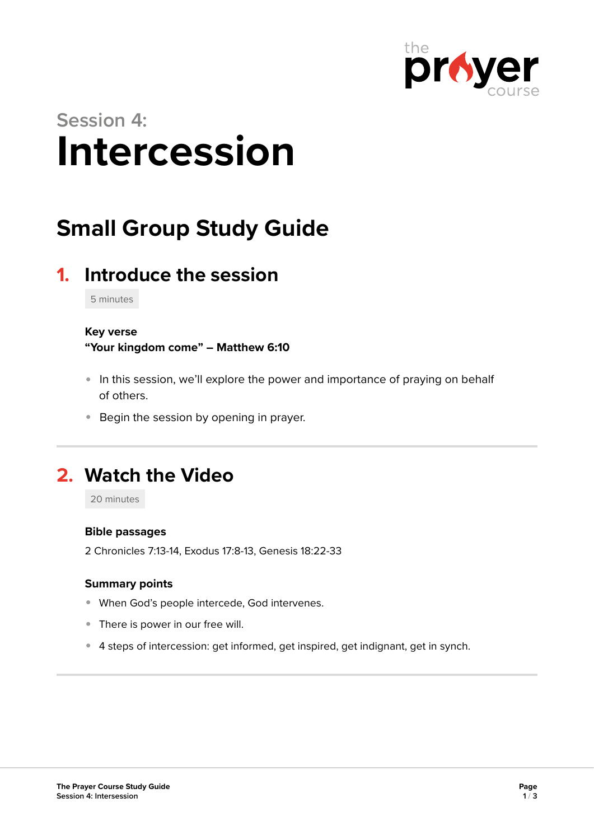

# **Session 4: Intercession**

## **Small Group Study Guide**

### **1. Introduce the session**

5 minutes

#### **Key verse**

**"Your kingdom come" – Matthew 6:10** 

- In this session, we'll explore the power and importance of praying on behalf of others.
- **Begin the session by opening in prayer.**

### **2. Watch the Video**

20 minutes

#### **Bible passages**

2 Chronicles 7:13-14, Exodus 17:8-13, Genesis 18:22-33

#### **Summary points**

- When God's people intercede, God intervenes.
- There is power in our free will.
- 4 steps of intercession: get informed, get inspired, get indignant, get in synch.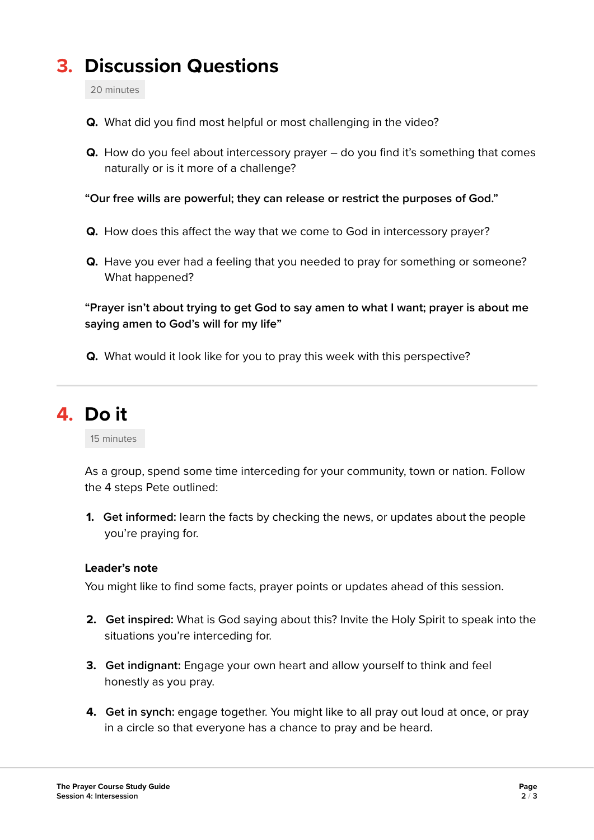### **3. Discussion Questions**

20 minutes

- **Q.** What did you find most helpful or most challenging in the video?
- **Q.** How do you feel about intercessory prayer do you find it's something that comes naturally or is it more of a challenge?

**"Our free wills are powerful; they can release or restrict the purposes of God."** 

- **Q.** How does this affect the way that we come to God in intercessory prayer?
- **Q.** Have you ever had a feeling that you needed to pray for something or someone? What happened?

**"Prayer isn't about trying to get God to say amen to what I want; prayer is about me saying amen to God's will for my life"** 

**Q.** What would it look like for you to pray this week with this perspective?

### **4. Do it**

15 minutes

As a group, spend some time interceding for your community, town or nation. Follow the 4 steps Pete outlined:

**1. Get informed:** learn the facts by checking the news, or updates about the people you're praying for.

#### **Leader's note**

You might like to find some facts, prayer points or updates ahead of this session.

- **2. Get inspired:** What is God saying about this? Invite the Holy Spirit to speak into the situations you're interceding for.
- **3. Get indignant:** Engage your own heart and allow yourself to think and feel honestly as you pray.
- **4. Get in synch:** engage together. You might like to all pray out loud at once, or pray in a circle so that everyone has a chance to pray and be heard.